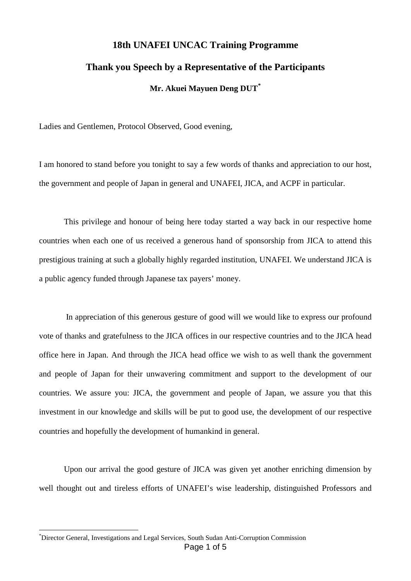## **18th UNAFEI UNCAC Training Programme Thank you Speech by a Representative of the Participants Mr. Akuei Mayuen Deng DUT[\\*](#page-0-0)**

Ladies and Gentlemen, Protocol Observed, Good evening,

I am honored to stand before you tonight to say a few words of thanks and appreciation to our host, the government and people of Japan in general and UNAFEI, JICA, and ACPF in particular.

This privilege and honour of being here today started a way back in our respective home countries when each one of us received a generous hand of sponsorship from JICA to attend this prestigious training at such a globally highly regarded institution, UNAFEI. We understand JICA is a public agency funded through Japanese tax payers' money.

In appreciation of this generous gesture of good will we would like to express our profound vote of thanks and gratefulness to the JICA offices in our respective countries and to the JICA head office here in Japan. And through the JICA head office we wish to as well thank the government and people of Japan for their unwavering commitment and support to the development of our countries. We assure you: JICA, the government and people of Japan, we assure you that this investment in our knowledge and skills will be put to good use, the development of our respective countries and hopefully the development of humankind in general.

Upon our arrival the good gesture of JICA was given yet another enriching dimension by well thought out and tireless efforts of UNAFEI's wise leadership, distinguished Professors and

<span id="page-0-0"></span>Page 1 of 5 \* Director General, Investigations and Legal Services, South Sudan Anti-Corruption Commission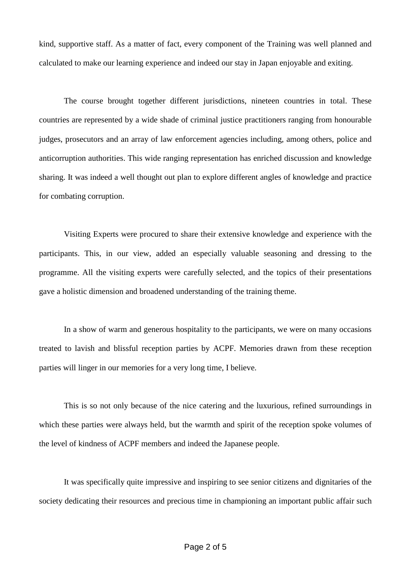kind, supportive staff. As a matter of fact, every component of the Training was well planned and calculated to make our learning experience and indeed our stay in Japan enjoyable and exiting.

The course brought together different jurisdictions, nineteen countries in total. These countries are represented by a wide shade of criminal justice practitioners ranging from honourable judges, prosecutors and an array of law enforcement agencies including, among others, police and anticorruption authorities. This wide ranging representation has enriched discussion and knowledge sharing. It was indeed a well thought out plan to explore different angles of knowledge and practice for combating corruption.

Visiting Experts were procured to share their extensive knowledge and experience with the participants. This, in our view, added an especially valuable seasoning and dressing to the programme. All the visiting experts were carefully selected, and the topics of their presentations gave a holistic dimension and broadened understanding of the training theme.

In a show of warm and generous hospitality to the participants, we were on many occasions treated to lavish and blissful reception parties by ACPF. Memories drawn from these reception parties will linger in our memories for a very long time, I believe.

This is so not only because of the nice catering and the luxurious, refined surroundings in which these parties were always held, but the warmth and spirit of the reception spoke volumes of the level of kindness of ACPF members and indeed the Japanese people.

It was specifically quite impressive and inspiring to see senior citizens and dignitaries of the society dedicating their resources and precious time in championing an important public affair such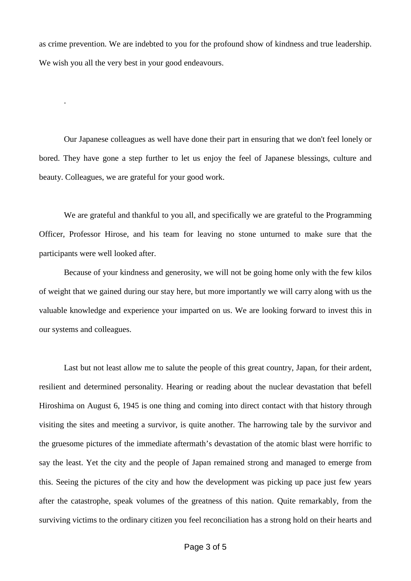as crime prevention. We are indebted to you for the profound show of kindness and true leadership. We wish you all the very best in your good endeavours.

.

Our Japanese colleagues as well have done their part in ensuring that we don't feel lonely or bored. They have gone a step further to let us enjoy the feel of Japanese blessings, culture and beauty. Colleagues, we are grateful for your good work.

We are grateful and thankful to you all, and specifically we are grateful to the Programming Officer, Professor Hirose, and his team for leaving no stone unturned to make sure that the participants were well looked after.

Because of your kindness and generosity, we will not be going home only with the few kilos of weight that we gained during our stay here, but more importantly we will carry along with us the valuable knowledge and experience your imparted on us. We are looking forward to invest this in our systems and colleagues.

Last but not least allow me to salute the people of this great country, Japan, for their ardent, resilient and determined personality. Hearing or reading about the nuclear devastation that befell Hiroshima on August 6, 1945 is one thing and coming into direct contact with that history through visiting the sites and meeting a survivor, is quite another. The harrowing tale by the survivor and the gruesome pictures of the immediate aftermath's devastation of the atomic blast were horrific to say the least. Yet the city and the people of Japan remained strong and managed to emerge from this. Seeing the pictures of the city and how the development was picking up pace just few years after the catastrophe, speak volumes of the greatness of this nation. Quite remarkably, from the surviving victims to the ordinary citizen you feel reconciliation has a strong hold on their hearts and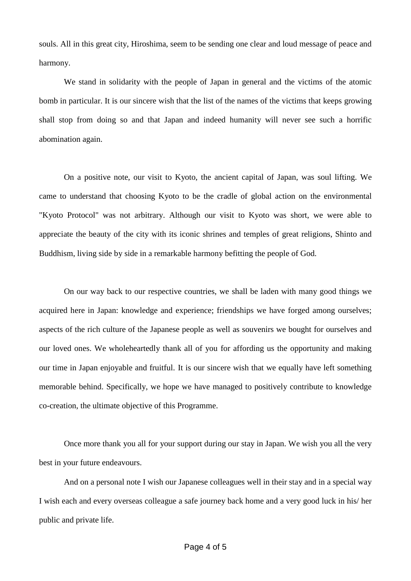souls. All in this great city, Hiroshima, seem to be sending one clear and loud message of peace and harmony.

We stand in solidarity with the people of Japan in general and the victims of the atomic bomb in particular. It is our sincere wish that the list of the names of the victims that keeps growing shall stop from doing so and that Japan and indeed humanity will never see such a horrific abomination again.

On a positive note, our visit to Kyoto, the ancient capital of Japan, was soul lifting. We came to understand that choosing Kyoto to be the cradle of global action on the environmental "Kyoto Protocol" was not arbitrary. Although our visit to Kyoto was short, we were able to appreciate the beauty of the city with its iconic shrines and temples of great religions, Shinto and Buddhism, living side by side in a remarkable harmony befitting the people of God.

On our way back to our respective countries, we shall be laden with many good things we acquired here in Japan: knowledge and experience; friendships we have forged among ourselves; aspects of the rich culture of the Japanese people as well as souvenirs we bought for ourselves and our loved ones. We wholeheartedly thank all of you for affording us the opportunity and making our time in Japan enjoyable and fruitful. It is our sincere wish that we equally have left something memorable behind. Specifically, we hope we have managed to positively contribute to knowledge co-creation, the ultimate objective of this Programme.

Once more thank you all for your support during our stay in Japan. We wish you all the very best in your future endeavours.

And on a personal note I wish our Japanese colleagues well in their stay and in a special way I wish each and every overseas colleague a safe journey back home and a very good luck in his/ her public and private life.